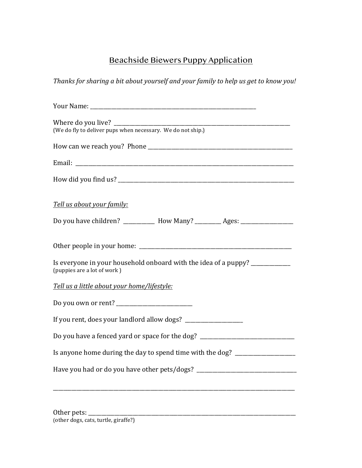## Beachside Biewers Puppy Application

Thanks for sharing a bit about yourself and your family to help us get to know you!

| Tell us about your family:                                                                                      |
|-----------------------------------------------------------------------------------------------------------------|
| Do you have children? ___________ How Many? _________ Ages: ____________________                                |
|                                                                                                                 |
| Is everyone in your household onboard with the idea of a puppy? ________________<br>(puppies are a lot of work) |
| Tell us a little about your home/lifestyle:                                                                     |
|                                                                                                                 |
|                                                                                                                 |
| Do you have a fenced yard or space for the dog? ________________________________                                |
| Is anyone home during the day to spend time with the dog? ______________________                                |
| Have you had or do you have other pets/dogs? ___________________________________                                |
|                                                                                                                 |
|                                                                                                                 |

| Other pets:                          |  |  |
|--------------------------------------|--|--|
| (other dogs, cats, turtle, giraffe?) |  |  |